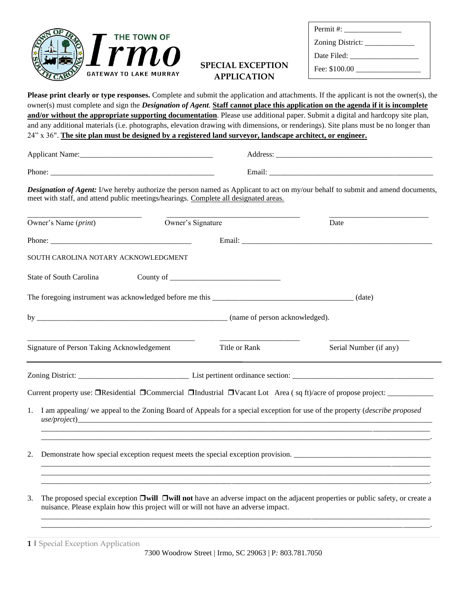

| Permit# $:=$     |
|------------------|
| Zoning District: |
| Date Filed:      |
| Fee: \$100.00    |
|                  |

## **SPECIAL EXCEPTION APPLICATION**

**Please print clearly or type responses.** Complete and submit the application and attachments. If the applicant is not the owner(s), the

owner(s) must complete and sign the *Designation of Agent*. **Staff cannot place this application on the agenda if it is incomplete and/or without the appropriate supporting documentation**. Please use additional paper. Submit a digital and hardcopy site plan, and any additional materials (i.e. photographs, elevation drawing with dimensions, or renderings). Site plans must be no longer than 24" x 36". **The site plan must be designed by a registered land surveyor, landscape architect, or engineer.** Applicant Name:\_\_\_\_\_\_\_\_\_\_\_\_\_\_\_\_\_\_\_\_\_\_\_\_\_\_\_\_\_\_\_\_\_\_\_ Address: \_\_\_\_\_\_\_\_\_\_\_\_\_\_\_\_\_\_\_\_\_\_\_\_\_\_\_\_\_\_\_\_\_\_\_\_\_\_\_\_\_ Phone: \_\_\_\_\_\_\_\_\_\_\_\_\_\_\_\_\_\_\_\_\_\_\_\_\_\_\_\_\_\_\_\_\_\_\_\_\_\_\_\_\_\_\_ Email: \_\_\_\_\_\_\_\_\_\_\_\_\_\_\_\_\_\_\_\_\_\_\_\_\_\_\_\_\_\_\_\_\_\_\_\_\_\_\_\_\_\_\_ *Designation of Agent:* I/we hereby authorize the person named as Applicant to act on my/our behalf to submit and amend documents, meet with staff, and attend public meetings/hearings. Complete all designated areas. \_\_\_\_\_\_\_\_\_\_\_\_\_\_\_\_\_\_\_\_\_\_\_\_\_\_\_\_\_\_ \_\_\_\_\_\_\_\_\_\_\_\_\_\_\_\_\_\_\_\_\_\_\_\_\_\_\_\_\_\_\_\_\_\_\_ \_\_\_\_\_\_\_\_\_\_\_\_\_\_\_\_\_\_\_\_\_\_\_\_\_\_ Owner's Name (*print*) Owner's Signature Date Phone: \_\_\_\_\_\_\_\_\_\_\_\_\_\_\_\_\_\_\_\_\_\_\_\_\_\_\_\_\_\_\_\_\_\_\_\_\_ Email: \_\_\_\_\_\_\_\_\_\_\_\_\_\_\_\_\_\_\_\_\_\_\_\_\_\_\_\_\_\_\_\_\_\_\_\_\_\_\_\_\_\_\_\_\_\_\_\_\_\_ SOUTH CAROLINA NOTARY ACKNOWLEDGMENT State of South Carolina County of \_\_\_\_\_\_\_\_\_\_\_\_\_\_\_\_\_\_\_\_\_\_\_\_\_\_\_\_\_ The foregoing instrument was acknowledged before me this \_\_\_\_\_\_\_\_\_\_\_\_\_\_\_\_\_\_\_\_\_\_\_\_\_\_\_\_\_\_\_\_\_\_\_\_\_ (date) by  $\qquad \qquad$  (name of person acknowledged). \_\_\_\_\_\_\_\_\_\_\_\_\_\_\_\_\_\_\_\_\_\_\_\_\_\_\_\_\_\_\_\_\_\_\_\_\_\_\_\_\_\_\_\_ \_\_\_\_\_\_\_\_\_\_\_\_\_\_\_\_\_\_\_\_\_ \_\_\_\_\_\_\_\_\_\_\_\_\_\_\_\_\_\_\_\_\_ Signature of Person Taking Acknowledgement Title or Rank Serial Number (if any)

Zoning District: \_\_\_\_\_\_\_\_\_\_\_\_\_\_\_\_\_\_\_\_\_\_\_\_\_\_\_\_\_ List pertinent ordinance section: \_\_\_\_\_\_\_\_\_\_\_\_\_\_\_\_\_\_\_\_\_\_\_\_\_\_\_\_\_\_\_\_\_\_\_\_\_

Current property use:  $\Box$ Residential  $\Box$ Commercial  $\Box$ Industrial  $\Box$ Vacant Lot Area (sq ft)/acre of propose project:

1. I am appealing/ we appeal to the Zoning Board of Appeals for a special exception for use of the property (*describe proposed*   $use/project)$ \_\_\_\_\_\_\_\_\_\_\_\_\_\_\_\_\_\_\_\_\_\_\_\_\_\_\_\_\_\_\_\_\_\_\_\_\_\_\_\_\_\_\_\_\_\_\_\_\_\_\_\_\_\_\_\_\_\_\_\_\_\_\_\_\_\_\_\_\_\_\_\_\_\_\_\_\_\_\_\_\_\_\_\_\_\_\_\_\_\_\_\_\_\_\_\_\_\_\_\_\_\_

\_\_\_\_\_\_\_\_\_\_\_\_\_\_\_\_\_\_\_\_\_\_\_\_\_\_\_\_\_\_\_\_\_\_\_\_\_\_\_\_\_\_\_\_\_\_\_\_\_\_\_\_\_\_\_\_\_\_\_\_\_\_\_\_\_\_\_\_\_\_\_\_\_\_\_\_\_\_\_\_\_\_\_\_\_\_\_\_\_\_\_\_\_\_\_\_\_\_\_\_\_\_.

\_\_\_\_\_\_\_\_\_\_\_\_\_\_\_\_\_\_\_\_\_\_\_\_\_\_\_\_\_\_\_\_\_\_\_\_\_\_\_\_\_\_\_\_\_\_\_\_\_\_\_\_\_\_\_\_\_\_\_\_\_\_\_\_\_\_\_\_\_\_\_\_\_\_\_\_\_\_\_\_\_\_\_\_\_\_\_\_\_\_\_\_\_\_\_\_\_\_\_\_\_\_ \_\_\_\_\_\_\_\_\_\_\_\_\_\_\_\_\_\_\_\_\_\_\_\_\_\_\_\_\_\_\_\_\_\_\_\_\_\_\_\_\_\_\_\_\_\_\_\_\_\_\_\_\_\_\_\_\_\_\_\_\_\_\_\_\_\_\_\_\_\_\_\_\_\_\_\_\_\_\_\_\_\_\_\_\_\_\_\_\_\_\_\_\_\_\_\_\_\_\_\_\_\_ \_\_\_\_\_\_\_\_\_\_\_\_\_\_\_\_\_\_\_\_\_\_\_\_\_\_\_\_\_\_\_\_\_\_\_\_\_\_\_\_\_\_\_\_\_\_\_\_\_\_\_\_\_\_\_\_\_\_\_\_\_\_\_\_\_\_\_\_\_\_\_\_\_\_\_\_\_\_\_\_\_\_\_\_\_\_\_\_\_\_\_\_\_\_\_\_\_\_\_\_\_\_.

- 2. Demonstrate how special exception request meets the special exception provision. \_\_\_\_\_\_\_\_\_\_\_\_\_\_\_\_\_\_\_\_\_\_\_\_\_\_\_\_\_\_\_\_\_\_\_\_
- 3. The proposed special exception **will will not** have an adverse impact on the adjacent properties or public safety, or create a nuisance. Please explain how this project will or will not have an adverse impact.

**1 |** Special Exception Application

\_\_\_\_\_\_\_\_\_\_\_\_\_\_\_\_\_\_\_\_\_\_\_\_\_\_\_\_\_\_\_\_\_\_\_\_\_\_\_\_\_\_\_\_\_\_\_\_\_\_\_\_\_\_\_\_\_\_\_\_\_\_\_\_\_\_\_\_\_\_\_\_\_\_\_\_\_\_\_\_\_\_\_\_\_\_\_\_\_\_\_\_\_\_\_\_\_\_\_\_\_\_ \_\_\_\_\_\_\_\_\_\_\_\_\_\_\_\_\_\_\_\_\_\_\_\_\_\_\_\_\_\_\_\_\_\_\_\_\_\_\_\_\_\_\_\_\_\_\_\_\_\_\_\_\_\_\_\_\_\_\_\_\_\_\_\_\_\_\_\_\_\_\_\_\_\_\_\_\_\_\_\_\_\_\_\_\_\_\_\_\_\_\_\_\_\_\_\_\_\_\_\_\_\_.